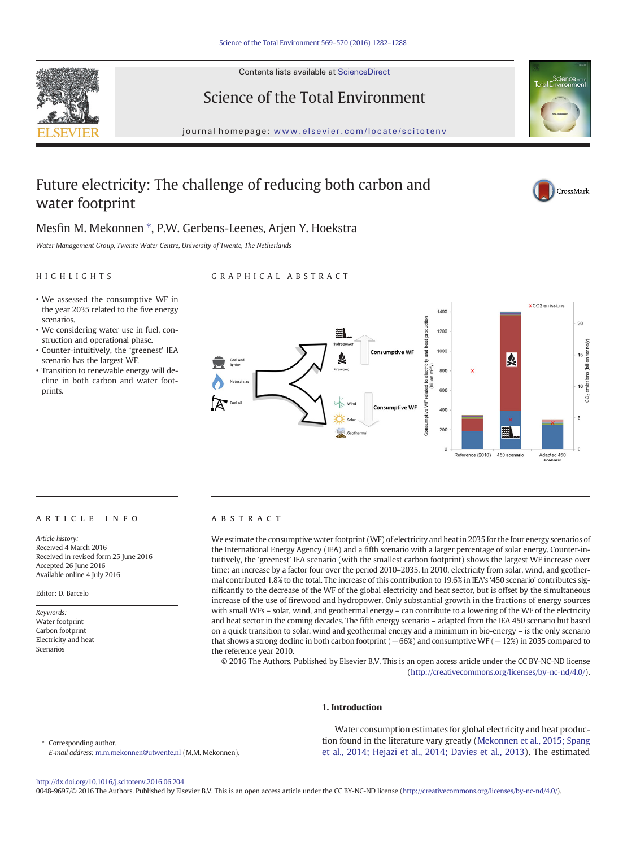

Contents lists available at ScienceDirect

# Science of the Total Environment





# Future electricity: The challenge of reducing both carbon and water footprint



# Mesfin M. Mekonnen \*, P.W. Gerbens-Leenes, Arjen Y. Hoekstra

Water Management Group, Twente Water Centre, University of Twente, The Netherlands

# HIGHLIGHTS

# GRAPHICAL ABSTRACT

- We assessed the consumptive WF in the year 2035 related to the five energy scenarios.
- We considering water use in fuel, construction and operational phase.
- Counter-intuitively, the 'greenest' IEA scenario has the largest WF.
- Transition to renewable energy will decline in both carbon and water footprints.



# article info abstract

Article history: Received 4 March 2016 Received in revised form 25 June 2016 Accepted 26 June 2016 Available online 4 July 2016

Editor: D. Barcelo

Keywords: Water footprint Carbon footprint Electricity and heat Scenarios

We estimate the consumptive water footprint (WF) of electricity and heat in 2035 for the four energy scenarios of the International Energy Agency (IEA) and a fifth scenario with a larger percentage of solar energy. Counter-intuitively, the 'greenest' IEA scenario (with the smallest carbon footprint) shows the largest WF increase over time: an increase by a factor four over the period 2010–2035. In 2010, electricity from solar, wind, and geothermal contributed 1.8% to the total. The increase of this contribution to 19.6% in IEA's '450 scenario' contributes significantly to the decrease of the WF of the global electricity and heat sector, but is offset by the simultaneous increase of the use of firewood and hydropower. Only substantial growth in the fractions of energy sources with small WFs – solar, wind, and geothermal energy – can contribute to a lowering of the WF of the electricity and heat sector in the coming decades. The fifth energy scenario – adapted from the IEA 450 scenario but based on a quick transition to solar, wind and geothermal energy and a minimum in bio-energy – is the only scenario that shows a strong decline in both carbon footprint (−66%) and consumptive WF (−12%) in 2035 compared to the reference year 2010.

© 2016 The Authors. Published by Elsevier B.V. This is an open access article under the CC BY-NC-ND license (<http://creativecommons.org/licenses/by-nc-nd/4.0/>).

# 1. Introduction

Corresponding author.

Water consumption estimates for global electricity and heat production found in the literature vary greatly [\(Mekonnen et al., 2015; Spang](#page-6-0) [et al., 2014; Hejazi et al., 2014; Davies et al., 2013\)](#page-6-0). The estimated

E-mail address: [m.m.mekonnen@utwente.nl](mailto:m.m.mekonnen@utwente.nl) (M.M. Mekonnen).

<http://dx.doi.org/10.1016/j.scitotenv.2016.06.204>

0048-9697/© 2016 The Authors. Published by Elsevier B.V. This is an open access article under the CC BY-NC-ND license [\(http://creativecommons.org/licenses/by-nc-nd/4.0/\)](http://creativecommons.org/licenses/by-nc-nd/4.0/).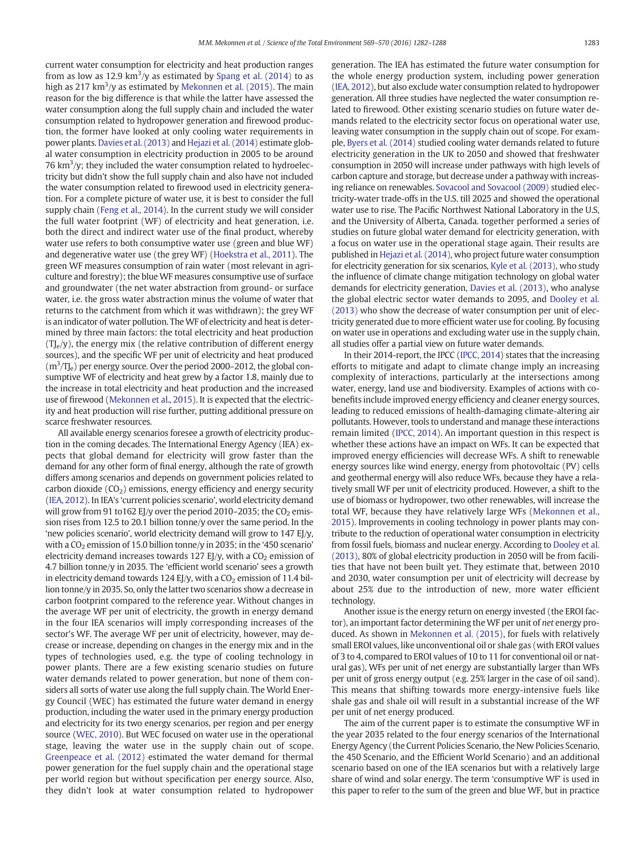current water consumption for electricity and heat production ranges from as low as 12.9  $\rm km^3/y$  as estimated by [Spang et al. \(2014\)](#page-6-0) to as high as 217 km $^3$ /y as estimated by [Mekonnen et al. \(2015\).](#page-6-0) The main reason for the big difference is that while the latter have assessed the water consumption along the full supply chain and included the water consumption related to hydropower generation and firewood production, the former have looked at only cooling water requirements in power plants. [Davies et al. \(2013\)](#page-5-0) and [Hejazi et al. \(2014\)](#page-6-0) estimate global water consumption in electricity production in 2005 to be around 76  $\rm km^3$ /y; they included the water consumption related to hydroelectricity but didn't show the full supply chain and also have not included the water consumption related to firewood used in electricity generation. For a complete picture of water use, it is best to consider the full supply chain [\(Feng et al., 2014\)](#page-6-0). In the current study we will consider the full water footprint (WF) of electricity and heat generation, i.e. both the direct and indirect water use of the final product, whereby water use refers to both consumptive water use (green and blue WF) and degenerative water use (the grey WF) [\(Hoekstra et al., 2011](#page-6-0)). The green WF measures consumption of rain water (most relevant in agriculture and forestry); the blue WF measures consumptive use of surface and groundwater (the net water abstraction from ground- or surface water, i.e. the gross water abstraction minus the volume of water that returns to the catchment from which it was withdrawn); the grey WF is an indicator of water pollution. The WF of electricity and heat is determined by three main factors: the total electricity and heat production  $(T\mathcal{L}(y))$ , the energy mix (the relative contribution of different energy sources), and the specific WF per unit of electricity and heat produced  $(m<sup>3</sup>/T)<sub>l</sub>$  per energy source. Over the period 2000–2012, the global consumptive WF of electricity and heat grew by a factor 1.8, mainly due to the increase in total electricity and heat production and the increased use of firewood [\(Mekonnen et al., 2015](#page-6-0)). It is expected that the electricity and heat production will rise further, putting additional pressure on scarce freshwater resources.

All available energy scenarios foresee a growth of electricity production in the coming decades. The International Energy Agency (IEA) expects that global demand for electricity will grow faster than the demand for any other form of final energy, although the rate of growth differs among scenarios and depends on government policies related to carbon dioxide  $(CO<sub>2</sub>)$  emissions, energy efficiency and energy security [\(IEA, 2012\)](#page-6-0). In IEA's 'current policies scenario', world electricity demand will grow from 91 to162 EJ/y over the period 2010–2035; the  $CO<sub>2</sub>$  emission rises from 12.5 to 20.1 billion tonne/y over the same period. In the 'new policies scenario', world electricity demand will grow to 147 EJ/y, with a  $CO<sub>2</sub>$  emission of 15.0 billion tonne/y in 2035; in the '450 scenario' electricity demand increases towards 127 EJ/y, with a  $CO<sub>2</sub>$  emission of 4.7 billion tonne/y in 2035. The 'efficient world scenario' sees a growth in electricity demand towards 124 EJ/y, with a  $CO<sub>2</sub>$  emission of 11.4 billion tonne/y in 2035. So, only the latter two scenarios show a decrease in carbon footprint compared to the reference year. Without changes in the average WF per unit of electricity, the growth in energy demand in the four IEA scenarios will imply corresponding increases of the sector's WF. The average WF per unit of electricity, however, may decrease or increase, depending on changes in the energy mix and in the types of technologies used, e.g. the type of cooling technology in power plants. There are a few existing scenario studies on future water demands related to power generation, but none of them considers all sorts of water use along the full supply chain. The World Energy Council (WEC) has estimated the future water demand in energy production, including the water used in the primary energy production and electricity for its two energy scenarios, per region and per energy source ([WEC, 2010\)](#page-6-0). But WEC focused on water use in the operational stage, leaving the water use in the supply chain out of scope. [Greenpeace et al. \(2012\)](#page-6-0) estimated the water demand for thermal power generation for the fuel supply chain and the operational stage per world region but without specification per energy source. Also, they didn't look at water consumption related to hydropower generation. The IEA has estimated the future water consumption for the whole energy production system, including power generation [\(IEA, 2012\)](#page-6-0), but also exclude water consumption related to hydropower generation. All three studies have neglected the water consumption related to firewood. Other existing scenario studies on future water demands related to the electricity sector focus on operational water use, leaving water consumption in the supply chain out of scope. For example, [Byers et al. \(2014\)](#page-5-0) studied cooling water demands related to future electricity generation in the UK to 2050 and showed that freshwater consumption in 2050 will increase under pathways with high levels of carbon capture and storage, but decrease under a pathway with increasing reliance on renewables. [Sovacool and Sovacool \(2009\)](#page-6-0) studied electricity-water trade-offs in the U.S. till 2025 and showed the operational water use to rise. The Pacific Northwest National Laboratory in the U.S, and the University of Alberta, Canada. together performed a series of studies on future global water demand for electricity generation, with a focus on water use in the operational stage again. Their results are published in [Hejazi et al. \(2014\),](#page-6-0) who project future water consumption for electricity generation for six scenarios, [Kyle et al. \(2013\)](#page-6-0), who study the influence of climate change mitigation technology on global water demands for electricity generation, [Davies et al. \(2013\),](#page-5-0) who analyse the global electric sector water demands to 2095, and [Dooley et al.](#page-5-0) [\(2013\)](#page-5-0) who show the decrease of water consumption per unit of electricity generated due to more efficient water use for cooling. By focusing on water use in operations and excluding water use in the supply chain, all studies offer a partial view on future water demands.

In their 2014-report, the IPCC [\(IPCC, 2014](#page-6-0)) states that the increasing efforts to mitigate and adapt to climate change imply an increasing complexity of interactions, particularly at the intersections among water, energy, land use and biodiversity. Examples of actions with cobenefits include improved energy efficiency and cleaner energy sources, leading to reduced emissions of health-damaging climate-altering air pollutants. However, tools to understand and manage these interactions remain limited ([IPCC, 2014](#page-6-0)). An important question in this respect is whether these actions have an impact on WFs. It can be expected that improved energy efficiencies will decrease WFs. A shift to renewable energy sources like wind energy, energy from photovoltaic (PV) cells and geothermal energy will also reduce WFs, because they have a relatively small WF per unit of electricity produced. However, a shift to the use of biomass or hydropower, two other renewables, will increase the total WF, because they have relatively large WFs [\(Mekonnen et al.,](#page-6-0) [2015](#page-6-0)). Improvements in cooling technology in power plants may contribute to the reduction of operational water consumption in electricity from fossil fuels, biomass and nuclear energy. According to [Dooley et al.](#page-5-0) [\(2013\)](#page-5-0), 80% of global electricity production in 2050 will be from facilities that have not been built yet. They estimate that, between 2010 and 2030, water consumption per unit of electricity will decrease by about 25% due to the introduction of new, more water efficient technology.

Another issue is the energy return on energy invested (the EROI factor), an important factor determining the WF per unit of net energy produced. As shown in [Mekonnen et al. \(2015\)](#page-6-0), for fuels with relatively small EROI values, like unconventional oil or shale gas (with EROI values of 3 to 4, compared to EROI values of 10 to 11 for conventional oil or natural gas), WFs per unit of net energy are substantially larger than WFs per unit of gross energy output (e.g. 25% larger in the case of oil sand). This means that shifting towards more energy-intensive fuels like shale gas and shale oil will result in a substantial increase of the WF per unit of net energy produced.

The aim of the current paper is to estimate the consumptive WF in the year 2035 related to the four energy scenarios of the International Energy Agency (the Current Policies Scenario, the New Policies Scenario, the 450 Scenario, and the Efficient World Scenario) and an additional scenario based on one of the IEA scenarios but with a relatively large share of wind and solar energy. The term 'consumptive WF' is used in this paper to refer to the sum of the green and blue WF, but in practice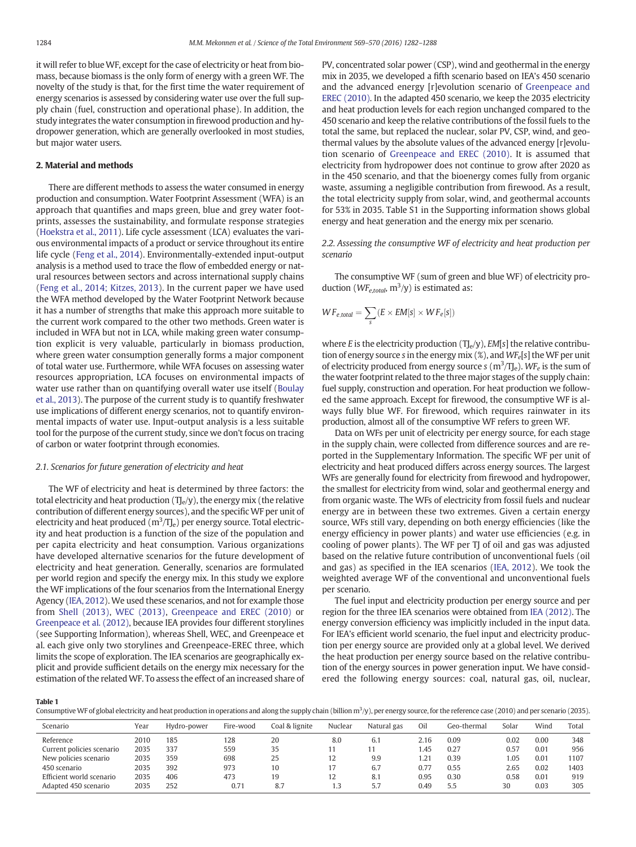<span id="page-2-0"></span>it will refer to blueWF, except for the case of electricity or heat from biomass, because biomass is the only form of energy with a green WF. The novelty of the study is that, for the first time the water requirement of energy scenarios is assessed by considering water use over the full supply chain (fuel, construction and operational phase). In addition, the study integrates the water consumption in firewood production and hydropower generation, which are generally overlooked in most studies, but major water users.

### 2. Material and methods

There are different methods to assess the water consumed in energy production and consumption. Water Footprint Assessment (WFA) is an approach that quantifies and maps green, blue and grey water footprints, assesses the sustainability, and formulate response strategies [\(Hoekstra et al., 2011](#page-6-0)). Life cycle assessment (LCA) evaluates the various environmental impacts of a product or service throughout its entire life cycle [\(Feng et al., 2014](#page-6-0)). Environmentally-extended input-output analysis is a method used to trace the flow of embedded energy or natural resources between sectors and across international supply chains [\(Feng et al., 2014; Kitzes, 2013](#page-6-0)). In the current paper we have used the WFA method developed by the Water Footprint Network because it has a number of strengths that make this approach more suitable to the current work compared to the other two methods. Green water is included in WFA but not in LCA, while making green water consumption explicit is very valuable, particularly in biomass production, where green water consumption generally forms a major component of total water use. Furthermore, while WFA focuses on assessing water resources appropriation, LCA focuses on environmental impacts of water use rather than on quantifying overall water use itself [\(Boulay](#page-5-0) [et al., 2013](#page-5-0)). The purpose of the current study is to quantify freshwater use implications of different energy scenarios, not to quantify environmental impacts of water use. Input-output analysis is a less suitable tool for the purpose of the current study, since we don't focus on tracing of carbon or water footprint through economies.

# 2.1. Scenarios for future generation of electricity and heat

The WF of electricity and heat is determined by three factors: the total electricity and heat production  $(T_{\text{e}}/y)$ , the energy mix (the relative contribution of different energy sources), and the specific WF per unit of electricity and heat produced  $(m^3/T_{\rm le})$  per energy source. Total electricity and heat production is a function of the size of the population and per capita electricity and heat consumption. Various organizations have developed alternative scenarios for the future development of electricity and heat generation. Generally, scenarios are formulated per world region and specify the energy mix. In this study we explore the WF implications of the four scenarios from the International Energy Agency ([IEA, 2012\)](#page-6-0). We used these scenarios, and not for example those from [Shell \(2013\),](#page-6-0) [WEC \(2013\)](#page-6-0), [Greenpeace and EREC \(2010\)](#page-6-0) or [Greenpeace et al. \(2012\),](#page-6-0) because IEA provides four different storylines (see Supporting Information), whereas Shell, WEC, and Greenpeace et al. each give only two storylines and Greenpeace-EREC three, which limits the scope of exploration. The IEA scenarios are geographically explicit and provide sufficient details on the energy mix necessary for the estimation of the relatedWF. To assess the effect of an increased share of PV, concentrated solar power (CSP), wind and geothermal in the energy mix in 2035, we developed a fifth scenario based on IEA's 450 scenario and the advanced energy [r]evolution scenario of [Greenpeace and](#page-6-0) [EREC \(2010\).](#page-6-0) In the adapted 450 scenario, we keep the 2035 electricity and heat production levels for each region unchanged compared to the 450 scenario and keep the relative contributions of the fossil fuels to the total the same, but replaced the nuclear, solar PV, CSP, wind, and geothermal values by the absolute values of the advanced energy [r]evolution scenario of [Greenpeace and EREC \(2010\).](#page-6-0) It is assumed that electricity from hydropower does not continue to grow after 2020 as in the 450 scenario, and that the bioenergy comes fully from organic waste, assuming a negligible contribution from firewood. As a result, the total electricity supply from solar, wind, and geothermal accounts for 53% in 2035. Table S1 in the Supporting information shows global energy and heat generation and the energy mix per scenario.

2.2. Assessing the consumptive WF of electricity and heat production per scenario

The consumptive WF (sum of green and blue WF) of electricity production ( $WF_{e, total}$ , m<sup>3</sup>/y) is estimated as:

$$
WF_{e, total} = \sum_{s} (E \times EM[s] \times WF_{e}[s])
$$

where E is the electricity production  $(T_{\text{e}}/y)$ , EM[s] the relative contribution of energy source s in the energy mix  $(\%)$ , and  $WF_e[s]$  the WF per unit of electricity produced from energy source s ( $m^3/T$ J<sub>e</sub>). WF<sub>e</sub> is the sum of the water footprint related to the three major stages of the supply chain: fuel supply, construction and operation. For heat production we followed the same approach. Except for firewood, the consumptive WF is always fully blue WF. For firewood, which requires rainwater in its production, almost all of the consumptive WF refers to green WF.

Data on WFs per unit of electricity per energy source, for each stage in the supply chain, were collected from difference sources and are reported in the Supplementary Information. The specific WF per unit of electricity and heat produced differs across energy sources. The largest WFs are generally found for electricity from firewood and hydropower, the smallest for electricity from wind, solar and geothermal energy and from organic waste. The WFs of electricity from fossil fuels and nuclear energy are in between these two extremes. Given a certain energy source, WFs still vary, depending on both energy efficiencies (like the energy efficiency in power plants) and water use efficiencies (e.g. in cooling of power plants). The WF per TJ of oil and gas was adjusted based on the relative future contribution of unconventional fuels (oil and gas) as specified in the IEA scenarios ([IEA, 2012](#page-6-0)). We took the weighted average WF of the conventional and unconventional fuels per scenario.

The fuel input and electricity production per energy source and per region for the three IEA scenarios were obtained from [IEA \(2012\).](#page-6-0) The energy conversion efficiency was implicitly included in the input data. For IEA's efficient world scenario, the fuel input and electricity production per energy source are provided only at a global level. We derived the heat production per energy source based on the relative contribution of the energy sources in power generation input. We have considered the following energy sources: coal, natural gas, oil, nuclear,

Table 1

Consumptive WF of global electricity and heat production in operations and along the supply chain (billion  $m<sup>3</sup>/y$ ), per energy source, for the reference case (2010) and per scenario (2035).

| Scenario                  | Year | Hydro-power | Fire-wood | Coal & lignite | Nuclear | Natural gas | Oil  | Geo-thermal | Solar | Wind | Total |
|---------------------------|------|-------------|-----------|----------------|---------|-------------|------|-------------|-------|------|-------|
| Reference                 | 2010 | 185         | 128       | 20             | 8.0     | 6.1         | 2.16 | 0.09        | 0.02  | 0.00 | 348   |
| Current policies scenario | 2035 | 337         | 559       | 35             | 11      |             | 1.45 | 0.27        | 0.57  | 0.01 | 956   |
| New policies scenario     | 2035 | 359         | 698       | 25             | 12      | 9.9         | 1.21 | 0.39        | 1.05  | 0.01 | 1107  |
| 450 scenario              | 2035 | 392         | 973       | 10             | 17      | 6.7         | 0.77 | 0.55        | 2.65  | 0.02 | 1403  |
| Efficient world scenario  | 2035 | 406         | 473       | 19             | 12      | 8.1         | 0.95 | 0.30        | 0.58  | 0.01 | 919   |
| Adapted 450 scenario      | 2035 | 252         | 0.71      | 8.7            | 1.3     | 5.7         | 0.49 | 5.5         | 30    | 0.03 | 305   |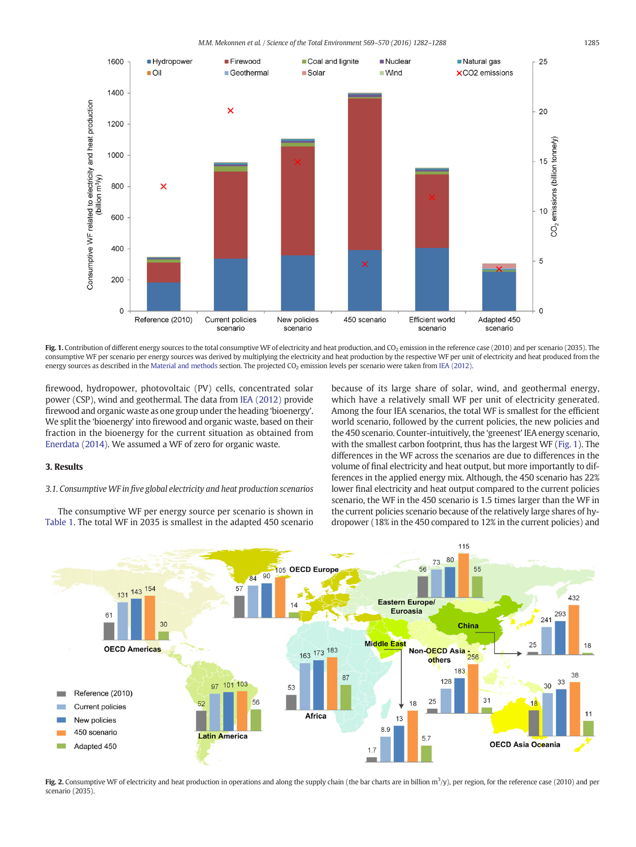<span id="page-3-0"></span>

Fig. 1. Contribution of different energy sources to the total consumptive WF of electricity and heat production, and CO<sub>2</sub> emission in the reference case (2010) and per scenario (2035). The consumptive WF per scenario per energy sources was derived by multiplying the electricity and heat production by the respective WF per unit of electricity and heat produced from the energy sources as described in the [Material and methods](#page-2-0) section. The projected CO<sub>2</sub> emission levels per scenario were taken from [IEA \(2012\)](#page-6-0).

firewood, hydropower, photovoltaic (PV) cells, concentrated solar power (CSP), wind and geothermal. The data from [IEA \(2012\)](#page-6-0) provide firewood and organic waste as one group under the heading 'bioenergy'. We split the 'bioenergy' into firewood and organic waste, based on their fraction in the bioenergy for the current situation as obtained from [Enerdata \(2014\).](#page-6-0) We assumed a WF of zero for organic waste.

# 3. Results

# 3.1. Consumptive WF in five global electricity and heat production scenarios

The consumptive WF per energy source per scenario is shown in [Table 1.](#page-2-0) The total WF in 2035 is smallest in the adapted 450 scenario because of its large share of solar, wind, and geothermal energy, which have a relatively small WF per unit of electricity generated. Among the four IEA scenarios, the total WF is smallest for the efficient world scenario, followed by the current policies, the new policies and the 450 scenario. Counter-intuitively, the 'greenest' IEA energy scenario, with the smallest carbon footprint, thus has the largest WF (Fig. 1). The differences in the WF across the scenarios are due to differences in the volume of final electricity and heat output, but more importantly to differences in the applied energy mix. Although, the 450 scenario has 22% lower final electricity and heat output compared to the current policies scenario, the WF in the 450 scenario is 1.5 times larger than the WF in the current policies scenario because of the relatively large shares of hydropower (18% in the 450 compared to 12% in the current policies) and



Fig. 2. Consumptive WF of electricity and heat production in operations and along the supply chain (the bar charts are in billion  $m^3/y$ ), per region, for the reference case (2010) and per scenario (2035).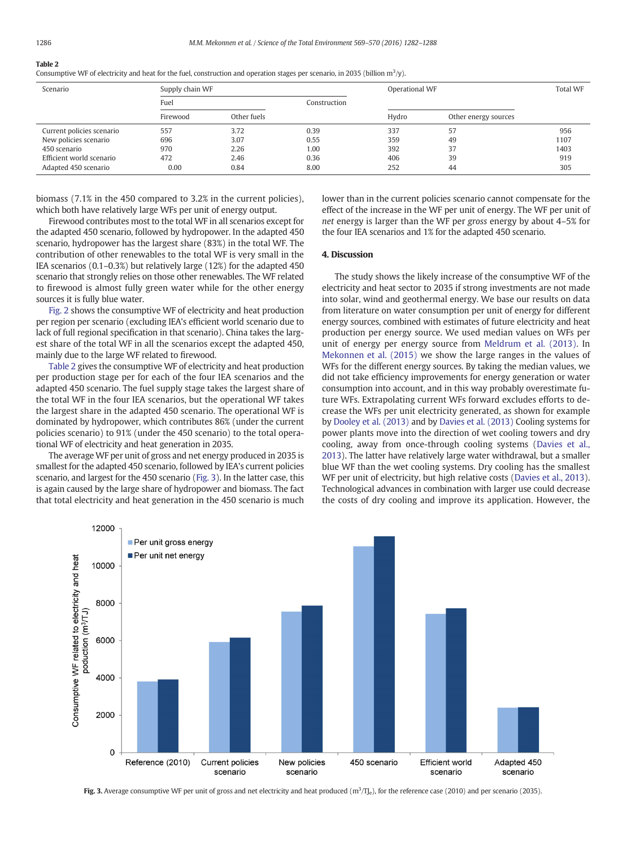#### Table 2 Consumptive WF of electricity and heat for the fuel, construction and operation stages per scenario, in 2035 (billion  $m^3/y$ ).

| Scenario                  | Supply chain WF |             |              | Operational WF | <b>Total WF</b>      |      |
|---------------------------|-----------------|-------------|--------------|----------------|----------------------|------|
|                           | Fuel            |             | Construction |                |                      |      |
|                           | Firewood        | Other fuels |              | Hydro          | Other energy sources |      |
| Current policies scenario | 557             | 3.72        | 0.39         | 337            | 57                   | 956  |
| New policies scenario     | 696             | 3.07        | 0.55         | 359            | 49                   | 1107 |
| 450 scenario              | 970             | 2.26        | 1.00         | 392            | 37                   | 1403 |
| Efficient world scenario  | 472             | 2.46        | 0.36         | 406            | 39                   | 919  |
| Adapted 450 scenario      | 0.00            | 0.84        | 8.00         | 252            | 44                   | 305  |

biomass (7.1% in the 450 compared to 3.2% in the current policies), which both have relatively large WFs per unit of energy output.

Firewood contributes most to the total WF in all scenarios except for the adapted 450 scenario, followed by hydropower. In the adapted 450 scenario, hydropower has the largest share (83%) in the total WF. The contribution of other renewables to the total WF is very small in the IEA scenarios (0.1–0.3%) but relatively large (12%) for the adapted 450 scenario that strongly relies on those other renewables. The WF related to firewood is almost fully green water while for the other energy sources it is fully blue water.

[Fig. 2](#page-3-0) shows the consumptive WF of electricity and heat production per region per scenario (excluding IEA's efficient world scenario due to lack of full regional specification in that scenario). China takes the largest share of the total WF in all the scenarios except the adapted 450, mainly due to the large WF related to firewood.

Table 2 gives the consumptive WF of electricity and heat production per production stage per for each of the four IEA scenarios and the adapted 450 scenario. The fuel supply stage takes the largest share of the total WF in the four IEA scenarios, but the operational WF takes the largest share in the adapted 450 scenario. The operational WF is dominated by hydropower, which contributes 86% (under the current policies scenario) to 91% (under the 450 scenario) to the total operational WF of electricity and heat generation in 2035.

The average WF per unit of gross and net energy produced in 2035 is smallest for the adapted 450 scenario, followed by IEA's current policies scenario, and largest for the 450 scenario (Fig. 3). In the latter case, this is again caused by the large share of hydropower and biomass. The fact that total electricity and heat generation in the 450 scenario is much lower than in the current policies scenario cannot compensate for the effect of the increase in the WF per unit of energy. The WF per unit of net energy is larger than the WF per gross energy by about 4–5% for the four IEA scenarios and 1% for the adapted 450 scenario.

# 4. Discussion

The study shows the likely increase of the consumptive WF of the electricity and heat sector to 2035 if strong investments are not made into solar, wind and geothermal energy. We base our results on data from literature on water consumption per unit of energy for different energy sources, combined with estimates of future electricity and heat production per energy source. We used median values on WFs per unit of energy per energy source from [Meldrum et al. \(2013\)](#page-6-0). In [Mekonnen et al. \(2015\)](#page-6-0) we show the large ranges in the values of WFs for the different energy sources. By taking the median values, we did not take efficiency improvements for energy generation or water consumption into account, and in this way probably overestimate future WFs. Extrapolating current WFs forward excludes efforts to decrease the WFs per unit electricity generated, as shown for example by [Dooley et al. \(2013\)](#page-5-0) and by [Davies et al. \(2013\)](#page-5-0) Cooling systems for power plants move into the direction of wet cooling towers and dry cooling, away from once-through cooling systems ([Davies et al.,](#page-5-0) [2013\)](#page-5-0). The latter have relatively large water withdrawal, but a smaller blue WF than the wet cooling systems. Dry cooling has the smallest WF per unit of electricity, but high relative costs ([Davies et al., 2013](#page-5-0)). Technological advances in combination with larger use could decrease the costs of dry cooling and improve its application. However, the



Fig. 3. Average consumptive WF per unit of gross and net electricity and heat produced  $(m^3/I)_e$ , for the reference case (2010) and per scenario (2035).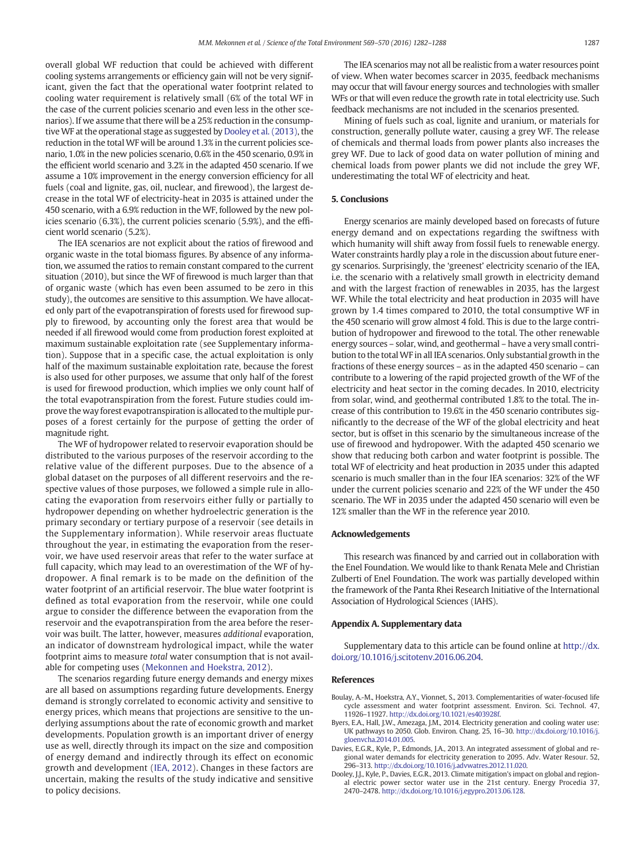<span id="page-5-0"></span>overall global WF reduction that could be achieved with different cooling systems arrangements or efficiency gain will not be very significant, given the fact that the operational water footprint related to cooling water requirement is relatively small (6% of the total WF in the case of the current policies scenario and even less in the other scenarios). If we assume that there will be a 25% reduction in the consumptiveWF at the operational stage as suggested by Dooley et al. (2013), the reduction in the total WF will be around 1.3% in the current policies scenario, 1.0% in the new policies scenario, 0.6% in the 450 scenario, 0.9% in the efficient world scenario and 3.2% in the adapted 450 scenario. If we assume a 10% improvement in the energy conversion efficiency for all fuels (coal and lignite, gas, oil, nuclear, and firewood), the largest decrease in the total WF of electricity-heat in 2035 is attained under the 450 scenario, with a 6.9% reduction in the WF, followed by the new policies scenario (6.3%), the current policies scenario (5.9%), and the efficient world scenario (5.2%).

The IEA scenarios are not explicit about the ratios of firewood and organic waste in the total biomass figures. By absence of any information, we assumed the ratios to remain constant compared to the current situation (2010), but since the WF of firewood is much larger than that of organic waste (which has even been assumed to be zero in this study), the outcomes are sensitive to this assumption. We have allocated only part of the evapotranspiration of forests used for firewood supply to firewood, by accounting only the forest area that would be needed if all firewood would come from production forest exploited at maximum sustainable exploitation rate (see Supplementary information). Suppose that in a specific case, the actual exploitation is only half of the maximum sustainable exploitation rate, because the forest is also used for other purposes, we assume that only half of the forest is used for firewood production, which implies we only count half of the total evapotranspiration from the forest. Future studies could improve the way forest evapotranspiration is allocated to the multiple purposes of a forest certainly for the purpose of getting the order of magnitude right.

The WF of hydropower related to reservoir evaporation should be distributed to the various purposes of the reservoir according to the relative value of the different purposes. Due to the absence of a global dataset on the purposes of all different reservoirs and the respective values of those purposes, we followed a simple rule in allocating the evaporation from reservoirs either fully or partially to hydropower depending on whether hydroelectric generation is the primary secondary or tertiary purpose of a reservoir (see details in the Supplementary information). While reservoir areas fluctuate throughout the year, in estimating the evaporation from the reservoir, we have used reservoir areas that refer to the water surface at full capacity, which may lead to an overestimation of the WF of hydropower. A final remark is to be made on the definition of the water footprint of an artificial reservoir. The blue water footprint is defined as total evaporation from the reservoir, while one could argue to consider the difference between the evaporation from the reservoir and the evapotranspiration from the area before the reservoir was built. The latter, however, measures additional evaporation, an indicator of downstream hydrological impact, while the water footprint aims to measure total water consumption that is not available for competing uses [\(Mekonnen and Hoekstra, 2012](#page-6-0)).

The scenarios regarding future energy demands and energy mixes are all based on assumptions regarding future developments. Energy demand is strongly correlated to economic activity and sensitive to energy prices, which means that projections are sensitive to the underlying assumptions about the rate of economic growth and market developments. Population growth is an important driver of energy use as well, directly through its impact on the size and composition of energy demand and indirectly through its effect on economic growth and development [\(IEA, 2012](#page-6-0)). Changes in these factors are uncertain, making the results of the study indicative and sensitive to policy decisions.

The IEA scenarios may not all be realistic from a water resources point of view. When water becomes scarcer in 2035, feedback mechanisms may occur that will favour energy sources and technologies with smaller WFs or that will even reduce the growth rate in total electricity use. Such feedback mechanisms are not included in the scenarios presented.

Mining of fuels such as coal, lignite and uranium, or materials for construction, generally pollute water, causing a grey WF. The release of chemicals and thermal loads from power plants also increases the grey WF. Due to lack of good data on water pollution of mining and chemical loads from power plants we did not include the grey WF, underestimating the total WF of electricity and heat.

#### 5. Conclusions

Energy scenarios are mainly developed based on forecasts of future energy demand and on expectations regarding the swiftness with which humanity will shift away from fossil fuels to renewable energy. Water constraints hardly play a role in the discussion about future energy scenarios. Surprisingly, the 'greenest' electricity scenario of the IEA, i.e. the scenario with a relatively small growth in electricity demand and with the largest fraction of renewables in 2035, has the largest WF. While the total electricity and heat production in 2035 will have grown by 1.4 times compared to 2010, the total consumptive WF in the 450 scenario will grow almost 4 fold. This is due to the large contribution of hydropower and firewood to the total. The other renewable energy sources – solar, wind, and geothermal – have a very small contribution to the total WF in all IEA scenarios. Only substantial growth in the fractions of these energy sources – as in the adapted 450 scenario – can contribute to a lowering of the rapid projected growth of the WF of the electricity and heat sector in the coming decades. In 2010, electricity from solar, wind, and geothermal contributed 1.8% to the total. The increase of this contribution to 19.6% in the 450 scenario contributes significantly to the decrease of the WF of the global electricity and heat sector, but is offset in this scenario by the simultaneous increase of the use of firewood and hydropower. With the adapted 450 scenario we show that reducing both carbon and water footprint is possible. The total WF of electricity and heat production in 2035 under this adapted scenario is much smaller than in the four IEA scenarios: 32% of the WF under the current policies scenario and 22% of the WF under the 450 scenario. The WF in 2035 under the adapted 450 scenario will even be 12% smaller than the WF in the reference year 2010.

# Acknowledgements

This research was financed by and carried out in collaboration with the Enel Foundation. We would like to thank Renata Mele and Christian Zulberti of Enel Foundation. The work was partially developed within the framework of the Panta Rhei Research Initiative of the International Association of Hydrological Sciences (IAHS).

### Appendix A. Supplementary data

Supplementary data to this article can be found online at [http://dx.](doi:10.1016/j.scitotenv.2016.06.204) [doi.org/10.1016/j.scitotenv.2016.06.204.](doi:10.1016/j.scitotenv.2016.06.204)

# References

- Boulay, A.-M., Hoekstra, A.Y., Vionnet, S., 2013. Complementarities of water-focused life cycle assessment and water footprint assessment. Environ. Sci. Technol. 47, 11926–11927. http://dx.doi.org/[10.1021/es403928f.](http://dx.doi.org/10.1021/es403928f)
- Byers, E.A., Hall, J.W., Amezaga, J.M., 2014. Electricity generation and cooling water use: UK pathways to 2050. Glob. Environ. Chang. 25, 16–30. http://dx.doi.org[/10.1016/j.](http://dx.doi.org/10.1016/j.gloenvcha.2014.01.005) [gloenvcha.2014.01.005](http://dx.doi.org/10.1016/j.gloenvcha.2014.01.005).
- Davies, E.G.R., Kyle, P., Edmonds, J.A., 2013. An integrated assessment of global and regional water demands for electricity generation to 2095. Adv. Water Resour. 52, 296–313. http://dx.doi.org[/10.1016/j.advwatres.2012.11.020.](http://dx.doi.org/10.1016/j.advwatres.2012.11.020)
- Dooley, J.J., Kyle, P., Davies, E.G.R., 2013. Climate mitigation's impact on global and regional electric power sector water use in the 21st century. Energy Procedia 37, 2470–2478. http://dx.doi.org[/10.1016/j.egypro.2013.06.128](http://dx.doi.org/10.1016/j.egypro.2013.06.128).